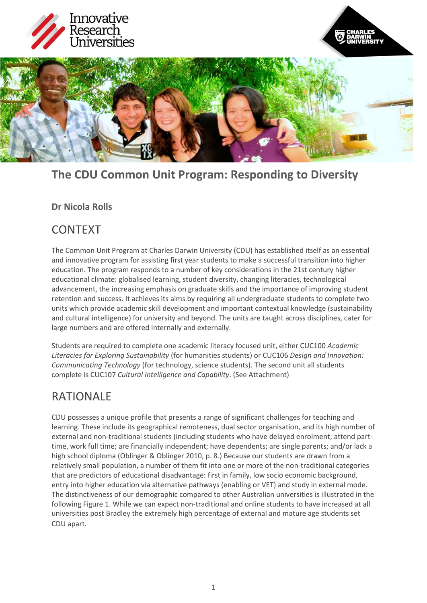



# **The CDU Common Unit Program: Responding to Diversity**

## **Dr Nicola Rolls**

## CONTEXT

The Common Unit Program at Charles Darwin University (CDU) has established itself as an essential and innovative program for assisting first year students to make a successful transition into higher education. The program responds to a number of key considerations in the 21st century higher educational climate: globalised learning, student diversity, changing literacies, technological advancement, the increasing emphasis on graduate skills and the importance of improving student retention and success. It achieves its aims by requiring all undergraduate students to complete two units which provide academic skill development and important contextual knowledge (sustainability and cultural intelligence) for university and beyond. The units are taught across disciplines, cater for large numbers and are offered internally and externally.

Students are required to complete one academic literacy focused unit, either CUC100 *Academic Literacies for Exploring Sustainability* (for humanities students) or CUC106 *Design and Innovation: Communicating Technology* (for technology, science students). The second unit all students complete is CUC107 *Cultural Intelligence and Capability*. (See Attachment)

## RATIONALE

CDU possesses a unique profile that presents a range of significant challenges for teaching and learning. These include its geographical remoteness, dual sector organisation, and its high number of external and non-traditional students (including students who have delayed enrolment; attend parttime, work full time; are financially independent; have dependents; are single parents; and/or lack a high school diploma (Oblinger & Oblinger 2010, p. 8.) Because our students are drawn from a relatively small population, a number of them fit into one or more of the non-traditional categories that are predictors of educational disadvantage: first in family, low socio economic background, entry into higher education via alternative pathways (enabling or VET) and study in external mode. The distinctiveness of our demographic compared to other Australian universities is illustrated in the following Figure 1. While we can expect non-traditional and online students to have increased at all universities post Bradley the extremely high percentage of external and mature age students set CDU apart.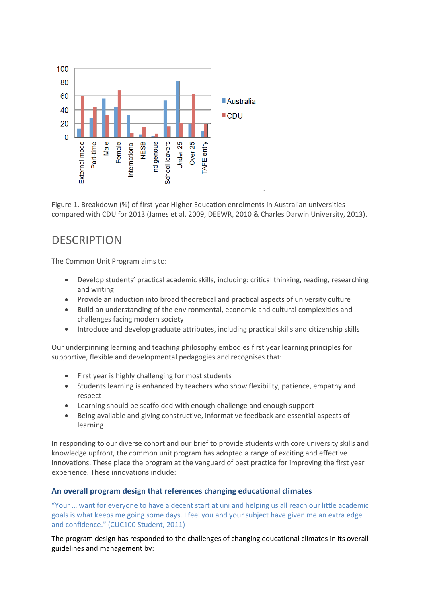

Figure 1. Breakdown (%) of first-year Higher Education enrolments in Australian universities compared with CDU for 2013 (James et al, 2009, DEEWR, 2010 & Charles Darwin University, 2013).

## **DESCRIPTION**

The Common Unit Program aims to:

- Develop students' practical academic skills, including: critical thinking, reading, researching and writing
- Provide an induction into broad theoretical and practical aspects of university culture
- Build an understanding of the environmental, economic and cultural complexities and challenges facing modern society
- Introduce and develop graduate attributes, including practical skills and citizenship skills

Our underpinning learning and teaching philosophy embodies first year learning principles for supportive, flexible and developmental pedagogies and recognises that:

- First year is highly challenging for most students
- Students learning is enhanced by teachers who show flexibility, patience, empathy and respect
- Learning should be scaffolded with enough challenge and enough support
- Being available and giving constructive, informative feedback are essential aspects of learning

In responding to our diverse cohort and our brief to provide students with core university skills and knowledge upfront, the common unit program has adopted a range of exciting and effective innovations. These place the program at the vanguard of best practice for improving the first year experience. These innovations include:

## **An overall program design that references changing educational climates**

"Your … want for everyone to have a decent start at uni and helping us all reach our little academic goals is what keeps me going some days. I feel you and your subject have given me an extra edge and confidence." (CUC100 Student, 2011)

The program design has responded to the challenges of changing educational climates in its overall guidelines and management by: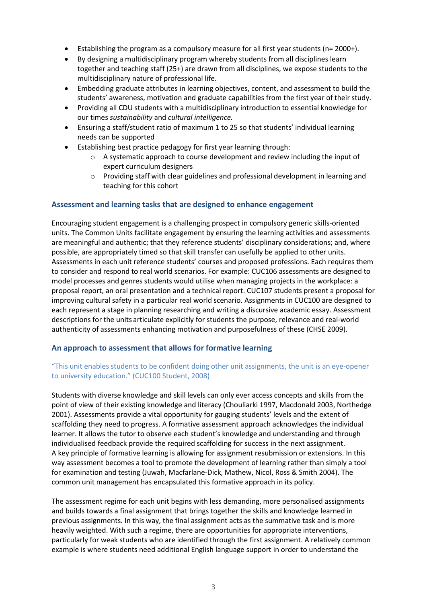- Establishing the program as a compulsory measure for all first year students (n= 2000+).
- By designing a multidisciplinary program whereby students from all disciplines learn together and teaching staff (25+) are drawn from all disciplines, we expose students to the multidisciplinary nature of professional life.
- Embedding graduate attributes in learning objectives, content, and assessment to build the students' awareness, motivation and graduate capabilities from the first year of their study.
- Providing all CDU students with a multidisciplinary introduction to essential knowledge for our times *sustainability* and *cultural intelligence.*
- Ensuring a staff/student ratio of maximum 1 to 25 so that students' individual learning needs can be supported
- Establishing best practice pedagogy for first year learning through:
	- $\circ$  A systematic approach to course development and review including the input of expert curriculum designers
	- $\circ$  Providing staff with clear guidelines and professional development in learning and teaching for this cohort

#### **Assessment and learning tasks that are designed to enhance engagement**

Encouraging student engagement is a challenging prospect in compulsory generic skills-oriented units. The Common Units facilitate engagement by ensuring the learning activities and assessments are meaningful and authentic; that they reference students' disciplinary considerations; and, where possible, are appropriately timed so that skill transfer can usefully be applied to other units. Assessments in each unit reference students' courses and proposed professions. Each requires them to consider and respond to real world scenarios. For example: CUC106 assessments are designed to model processes and genres students would utilise when managing projects in the workplace: a proposal report, an oral presentation and a technical report. CUC107 students present a proposal for improving cultural safety in a particular real world scenario. Assignments in CUC100 are designed to each represent a stage in planning researching and writing a discursive academic essay. Assessment descriptions for the units articulate explicitly for students the purpose, relevance and real-world authenticity of assessments enhancing motivation and purposefulness of these (CHSE 2009).

#### **An approach to assessment that allows for formative learning**

## "This unit enables students to be confident doing other unit assignments, the unit is an eye-opener to university education." (CUC100 Student, 2008)

Students with diverse knowledge and skill levels can only ever access concepts and skills from the point of view of their existing knowledge and literacy (Chouliarki 1997, Macdonald 2003, Northedge 2001). Assessments provide a vital opportunity for gauging students' levels and the extent of scaffolding they need to progress. A formative assessment approach acknowledges the individual learner. It allows the tutor to observe each student's knowledge and understanding and through individualised feedback provide the required scaffolding for success in the next assignment. A key principle of formative learning is allowing for assignment resubmission or extensions. In this way assessment becomes a tool to promote the development of learning rather than simply a tool for examination and testing (Juwah, Macfarlane-Dick, Mathew, Nicol, Ross & Smith 2004). The common unit management has encapsulated this formative approach in its policy.

The assessment regime for each unit begins with less demanding, more personalised assignments and builds towards a final assignment that brings together the skills and knowledge learned in previous assignments. In this way, the final assignment acts as the summative task and is more heavily weighted. With such a regime, there are opportunities for appropriate interventions, particularly for weak students who are identified through the first assignment. A relatively common example is where students need additional English language support in order to understand the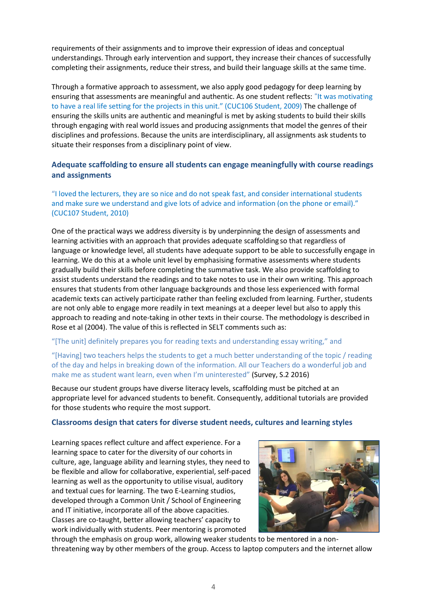requirements of their assignments and to improve their expression of ideas and conceptual understandings. Through early intervention and support, they increase their chances of successfully completing their assignments, reduce their stress, and build their language skills at the same time.

Through a formative approach to assessment, we also apply good pedagogy for deep learning by ensuring that assessments are meaningful and authentic. As one student reflects: "It was motivating to have a real life setting for the projects in this unit." (CUC106 Student, 2009) The challenge of ensuring the skills units are authentic and meaningful is met by asking students to build their skills through engaging with real world issues and producing assignments that model the genres of their disciplines and professions. Because the units are interdisciplinary, all assignments ask students to situate their responses from a disciplinary point of view.

## **Adequate scaffolding to ensure all students can engage meaningfully with course readings and assignments**

"I loved the lecturers, they are so nice and do not speak fast, and consider international students and make sure we understand and give lots of advice and information (on the phone or email)." (CUC107 Student, 2010)

One of the practical ways we address diversity is by underpinning the design of assessments and learning activities with an approach that provides adequate scaffolding so that regardless of language or knowledge level, all students have adequate support to be able to successfully engage in learning. We do this at a whole unit level by emphasising formative assessments where students gradually build their skills before completing the summative task. We also provide scaffolding to assist students understand the readings and to take notes to use in their own writing. This approach ensures that students from other language backgrounds and those less experienced with formal academic texts can actively participate rather than feeling excluded from learning. Further, students are not only able to engage more readily in text meanings at a deeper level but also to apply this approach to reading and note-taking in other texts in their course. The methodology is described in Rose et al (2004). The value of this is reflected in SELT comments such as:

"[The unit] definitely prepares you for reading texts and understanding essay writing," and

"[Having] two teachers helps the students to get a much better understanding of the topic / reading of the day and helps in breaking down of the information. All our Teachers do a wonderful job and make me as student want learn, even when I'm uninterested" (Survey, S.2 2016)

Because our student groups have diverse literacy levels, scaffolding must be pitched at an appropriate level for advanced students to benefit. Consequently, additional tutorials are provided for those students who require the most support.

### **Classrooms design that caters for diverse student needs, cultures and learning styles**

Learning spaces reflect culture and affect experience. For a learning space to cater for the diversity of our cohorts in culture, age, language ability and learning styles, they need to be flexible and allow for collaborative, experiential, self-paced learning as well as the opportunity to utilise visual, auditory and textual cues for learning. The two E-Learning studios, developed through a Common Unit / School of Engineering and IT initiative, incorporate all of the above capacities. Classes are co-taught, better allowing teachers' capacity to work individually with students. Peer mentoring is promoted



through the emphasis on group work, allowing weaker students to be mentored in a nonthreatening way by other members of the group. Access to laptop computers and the internet allow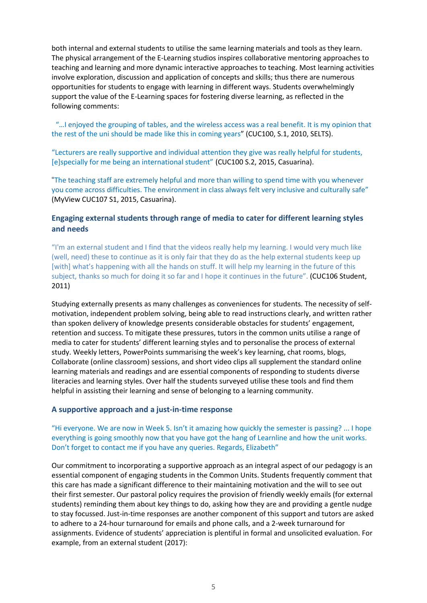both internal and external students to utilise the same learning materials and tools as they learn. The physical arrangement of the E-Learning studios inspires collaborative mentoring approaches to teaching and learning and more dynamic interactive approaches to teaching. Most learning activities involve exploration, discussion and application of concepts and skills; thus there are numerous opportunities for students to engage with learning in different ways. Students overwhelmingly support the value of the E-Learning spaces for fostering diverse learning, as reflected in the following comments:

"…I enjoyed the grouping of tables, and the wireless access was a real benefit. It is my opinion that the rest of the uni should be made like this in coming years" (CUC100, S.1, 2010, SELTS).

"Lecturers are really supportive and individual attention they give was really helpful for students, [e]specially for me being an international student" (CUC100 S.2, 2015, Casuarina).

"The teaching staff are extremely helpful and more than willing to spend time with you whenever you come across difficulties. The environment in class always felt very inclusive and culturally safe" (MyView CUC107 S1, 2015, Casuarina).

## **Engaging external students through range of media to cater for different learning styles and needs**

"I'm an external student and I find that the videos really help my learning. I would very much like (well, need) these to continue as it is only fair that they do as the help external students keep up [with] what's happening with all the hands on stuff. It will help my learning in the future of this subject, thanks so much for doing it so far and I hope it continues in the future". (CUC106 Student, 2011)

Studying externally presents as many challenges as conveniences for students. The necessity of selfmotivation, independent problem solving, being able to read instructions clearly, and written rather than spoken delivery of knowledge presents considerable obstacles for students' engagement, retention and success. To mitigate these pressures, tutors in the common units utilise a range of media to cater for students' different learning styles and to personalise the process of external study. Weekly letters, PowerPoints summarising the week's key learning, chat rooms, blogs, Collaborate (online classroom) sessions, and short video clips all supplement the standard online learning materials and readings and are essential components of responding to students diverse literacies and learning styles. Over half the students surveyed utilise these tools and find them helpful in assisting their learning and sense of belonging to a learning community.

#### **A supportive approach and a just-in-time response**

### "Hi everyone. We are now in Week 5. Isn't it amazing how quickly the semester is passing? ... I hope everything is going smoothly now that you have got the hang of Learnline and how the unit works. Don't forget to contact me if you have any queries. Regards, Elizabeth"

Our commitment to incorporating a supportive approach as an integral aspect of our pedagogy is an essential component of engaging students in the Common Units. Students frequently comment that this care has made a significant difference to their maintaining motivation and the will to see out their first semester. Our pastoral policy requires the provision of friendly weekly emails (for external students) reminding them about key things to do, asking how they are and providing a gentle nudge to stay focussed. Just-in-time responses are another component of this support and tutors are asked to adhere to a 24-hour turnaround for emails and phone calls, and a 2-week turnaround for assignments. Evidence of students' appreciation is plentiful in formal and unsolicited evaluation. For example, from an external student (2017):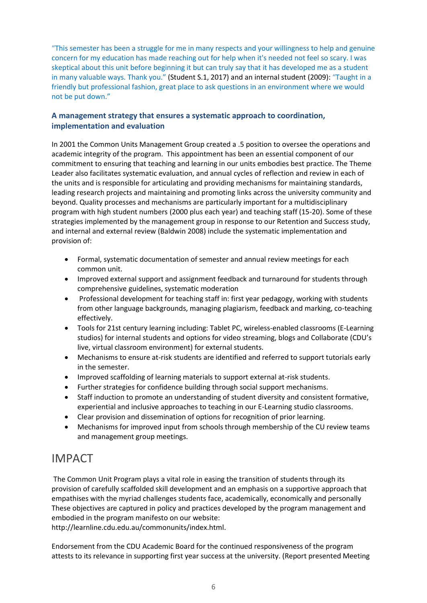"This semester has been a struggle for me in many respects and your willingness to help and genuine concern for my education has made reaching out for help when it's needed not feel so scary. I was skeptical about this unit before beginning it but can truly say that it has developed me as a student in many valuable ways. Thank you." (Student S.1, 2017) and an internal student (2009): "Taught in a friendly but professional fashion, great place to ask questions in an environment where we would not be put down."

## **A management strategy that ensures a systematic approach to coordination, implementation and evaluation**

In 2001 the Common Units Management Group created a .5 position to oversee the operations and academic integrity of the program. This appointment has been an essential component of our commitment to ensuring that teaching and learning in our units embodies best practice. The Theme Leader also facilitates systematic evaluation, and annual cycles of reflection and review in each of the units and is responsible for articulating and providing mechanisms for maintaining standards, leading research projects and maintaining and promoting links across the university community and beyond. Quality processes and mechanisms are particularly important for a multidisciplinary program with high student numbers (2000 plus each year) and teaching staff (15-20). Some of these strategies implemented by the management group in response to our Retention and Success study, and internal and external review (Baldwin 2008) include the systematic implementation and provision of:

- Formal, systematic documentation of semester and annual review meetings for each common unit.
- Improved external support and assignment feedback and turnaround for students through comprehensive guidelines, systematic moderation
- Professional development for teaching staff in: first year pedagogy, working with students from other language backgrounds, managing plagiarism, feedback and marking, co-teaching effectively.
- Tools for 21st century learning including: Tablet PC, wireless-enabled classrooms (E-Learning studios) for internal students and options for video streaming, blogs and Collaborate (CDU's live, virtual classroom environment) for external students.
- Mechanisms to ensure at-risk students are identified and referred to support tutorials early in the semester.
- Improved scaffolding of learning materials to support external at-risk students.
- Further strategies for confidence building through social support mechanisms.
- Staff induction to promote an understanding of student diversity and consistent formative, experiential and inclusive approaches to teaching in our E-Learning studio classrooms.
- Clear provision and dissemination of options for recognition of prior learning.
- Mechanisms for improved input from schools through membership of the CU review teams and management group meetings.

## IMPACT

The Common Unit Program plays a vital role in easing the transition of students through its provision of carefully scaffolded skill development and an emphasis on a supportive approach that empathises with the myriad challenges students face, academically, economically and personally These objectives are captured in policy and practices developed by the program management and embodied in the program manifesto on our website:

http://learnline.cdu.edu.au/commonunits/index.html.

Endorsement from the CDU Academic Board for the continued responsiveness of the program attests to its relevance in supporting first year success at the university. (Report presented Meeting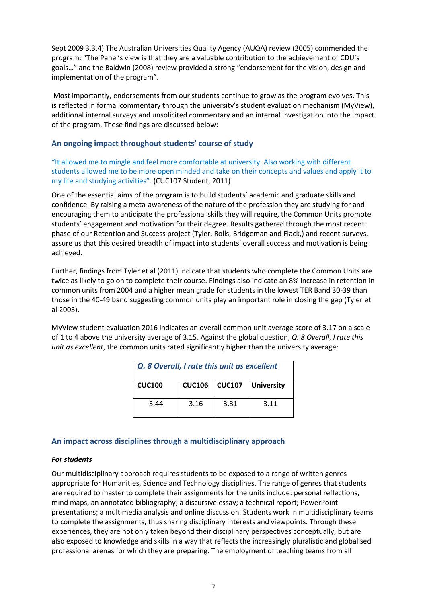Sept 2009 3.3.4) The Australian Universities Quality Agency (AUQA) review (2005) commended the program: "The Panel's view is that they are a valuable contribution to the achievement of CDU's goals…" and the Baldwin (2008) review provided a strong "endorsement for the vision, design and implementation of the program".

Most importantly, endorsements from our students continue to grow as the program evolves. This is reflected in formal commentary through the university's student evaluation mechanism (MyView), additional internal surveys and unsolicited commentary and an internal investigation into the impact of the program. These findings are discussed below:

## **An ongoing impact throughout students' course of study**

"It allowed me to mingle and feel more comfortable at university. Also working with different students allowed me to be more open minded and take on their concepts and values and apply it to my life and studying activities". (CUC107 Student, 2011)

One of the essential aims of the program is to build students' academic and graduate skills and confidence. By raising a meta-awareness of the nature of the profession they are studying for and encouraging them to anticipate the professional skills they will require, the Common Units promote students' engagement and motivation for their degree. Results gathered through the most recent phase of our Retention and Success project (Tyler, Rolls, Bridgeman and Flack,) and recent surveys, assure us that this desired breadth of impact into students' overall success and motivation is being achieved.

Further, findings from Tyler et al (2011) indicate that students who complete the Common Units are twice as likely to go on to complete their course. Findings also indicate an 8% increase in retention in common units from 2004 and a higher mean grade for students in the lowest TER Band 30-39 than those in the 40-49 band suggesting common units play an important role in closing the gap (Tyler et al 2003).

MyView student evaluation 2016 indicates an overall common unit average score of 3.17 on a scale of 1 to 4 above the university average of 3.15. Against the global question, *Q. 8 Overall, I rate this unit as excellent*, the common units rated significantly higher than the university average:

| Q. 8 Overall, I rate this unit as excellent |      |      |                              |
|---------------------------------------------|------|------|------------------------------|
| <b>CUC100</b>                               |      |      | CUC106   CUC107   University |
| 3.44                                        | 3.16 | 3.31 | 3.11                         |

## **An impact across disciplines through a multidisciplinary approach**

## *For students*

Our multidisciplinary approach requires students to be exposed to a range of written genres appropriate for Humanities, Science and Technology disciplines. The range of genres that students are required to master to complete their assignments for the units include: personal reflections, mind maps, an annotated bibliography; a discursive essay; a technical report; PowerPoint presentations; a multimedia analysis and online discussion. Students work in multidisciplinary teams to complete the assignments, thus sharing disciplinary interests and viewpoints. Through these experiences, they are not only taken beyond their disciplinary perspectives conceptually, but are also exposed to knowledge and skills in a way that reflects the increasingly pluralistic and globalised professional arenas for which they are preparing. The employment of teaching teams from all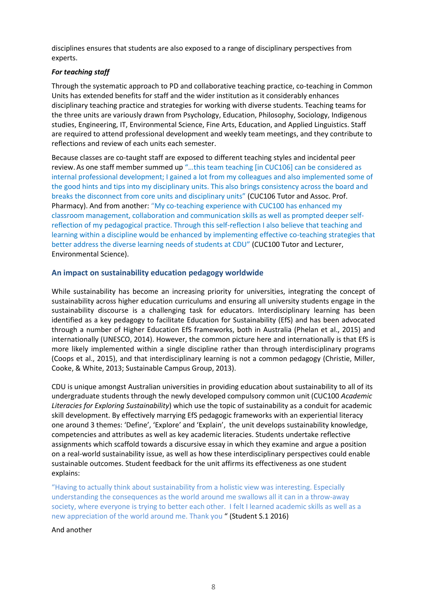disciplines ensures that students are also exposed to a range of disciplinary perspectives from experts.

## *For teaching staff*

Through the systematic approach to PD and collaborative teaching practice, co-teaching in Common Units has extended benefits for staff and the wider institution as it considerably enhances disciplinary teaching practice and strategies for working with diverse students. Teaching teams for the three units are variously drawn from Psychology, Education, Philosophy, Sociology, Indigenous studies, Engineering, IT, Environmental Science, Fine Arts, Education, and Applied Linguistics. Staff are required to attend professional development and weekly team meetings, and they contribute to reflections and review of each units each semester.

Because classes are co-taught staff are exposed to different teaching styles and incidental peer review.As one staff member summed up "…this team teaching [in CUC106] can be considered as internal professional development; I gained a lot from my colleagues and also implemented some of the good hints and tips into my disciplinary units. This also brings consistency across the board and breaks the disconnect from core units and disciplinary units" (CUC106 Tutor and Assoc. Prof. Pharmacy). And from another: "My co-teaching experience with CUC100 has enhanced my classroom management, collaboration and communication skills as well as prompted deeper selfreflection of my pedagogical practice. Through this self-reflection I also believe that teaching and learning within a discipline would be enhanced by implementing effective co-teaching strategies that better address the diverse learning needs of students at CDU" (CUC100 Tutor and Lecturer, Environmental Science).

## **An impact on sustainability education pedagogy worldwide**

While sustainability has become an increasing priority for universities, integrating the concept of sustainability across higher education curriculums and ensuring all university students engage in the sustainability discourse is a challenging task for educators. Interdisciplinary learning has been identified as a key pedagogy to facilitate Education for Sustainability (EfS) and has been advocated through a number of Higher Education EfS frameworks, both in Australia (Phelan et al., 2015) and internationally (UNESCO, 2014). However, the common picture here and internationally is that EfS is more likely implemented within a single discipline rather than through interdisciplinary programs (Coops et al., 2015), and that interdisciplinary learning is not a common pedagogy (Christie, Miller, Cooke, & White, 2013; Sustainable Campus Group, 2013).

CDU is unique amongst Australian universities in providing education about sustainability to all of its undergraduate students through the newly developed compulsory common unit (CUC100 *Academic Literacies for Exploring Sustainability*) which use the topic of sustainability as a conduit for academic skill development. By effectively marrying EfS pedagogic frameworks with an experiential literacy one around 3 themes: 'Define', 'Explore' and 'Explain', the unit develops sustainability knowledge, competencies and attributes as well as key academic literacies. Students undertake reflective assignments which scaffold towards a discursive essay in which they examine and argue a position on a real-world sustainability issue, as well as how these interdisciplinary perspectives could enable sustainable outcomes. Student feedback for the unit affirms its effectiveness as one student explains:

"Having to actually think about sustainability from a holistic view was interesting. Especially understanding the consequences as the world around me swallows all it can in a throw-away society, where everyone is trying to better each other. I felt I learned academic skills as well as a new appreciation of the world around me. Thank you " (Student S.1 2016)

#### And another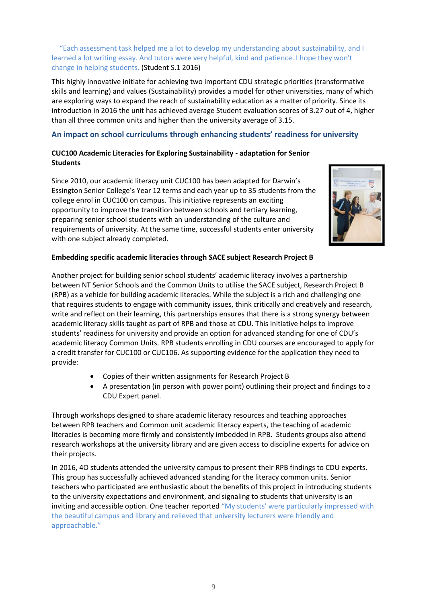"Each assessment task helped me a lot to develop my understanding about sustainability, and I learned a lot writing essay. And tutors were very helpful, kind and patience. I hope they won't change in helping students. (Student S.1 2016)

This highly innovative initiate for achieving two important CDU strategic priorities (transformative skills and learning) and values (Sustainability) provides a model for other universities, many of which are exploring ways to expand the reach of sustainability education as a matter of priority. Since its introduction in 2016 the unit has achieved average Student evaluation scores of 3.27 out of 4, higher than all three common units and higher than the university average of 3.15.

## **An impact on school curriculums through enhancing students' readiness for university**

## **CUC100 Academic Literacies for Exploring Sustainability - adaptation for Senior Students**

Since 2010, our academic literacy unit CUC100 has been adapted for Darwin's Essington Senior College's Year 12 terms and each year up to 35 students from the college enrol in CUC100 on campus. This initiative represents an exciting opportunity to improve the transition between schools and tertiary learning, preparing senior school students with an understanding of the culture and requirements of university. At the same time, successful students enter university with one subject already completed.



## **Embedding specific academic literacies through SACE subject Research Project B**

Another project for building senior school students' academic literacy involves a partnership between NT Senior Schools and the Common Units to utilise the SACE subject, Research Project B (RPB) as a vehicle for building academic literacies. While the subject is a rich and challenging one that requires students to engage with community issues, think critically and creatively and research, write and reflect on their learning, this partnerships ensures that there is a strong synergy between academic literacy skills taught as part of RPB and those at CDU. This initiative helps to improve students' readiness for university and provide an option for advanced standing for one of CDU's academic literacy Common Units. RPB students enrolling in CDU courses are encouraged to apply for a credit transfer for CUC100 or CUC106. As supporting evidence for the application they need to provide:

- Copies of their written assignments for Research Project B
- A presentation (in person with power point) outlining their project and findings to a CDU Expert panel.

Through workshops designed to share academic literacy resources and teaching approaches between RPB teachers and Common unit academic literacy experts, the teaching of academic literacies is becoming more firmly and consistently imbedded in RPB. Students groups also attend research workshops at the university library and are given access to discipline experts for advice on their projects.

In 2016, 4O students attended the university campus to present their RPB findings to CDU experts. This group has successfully achieved advanced standing for the literacy common units. Senior teachers who participated are enthusiastic about the benefits of this project in introducing students to the university expectations and environment, and signaling to students that university is an inviting and accessible option. One teacher reported "My students' were particularly impressed with the beautiful campus and library and relieved that university lecturers were friendly and approachable."